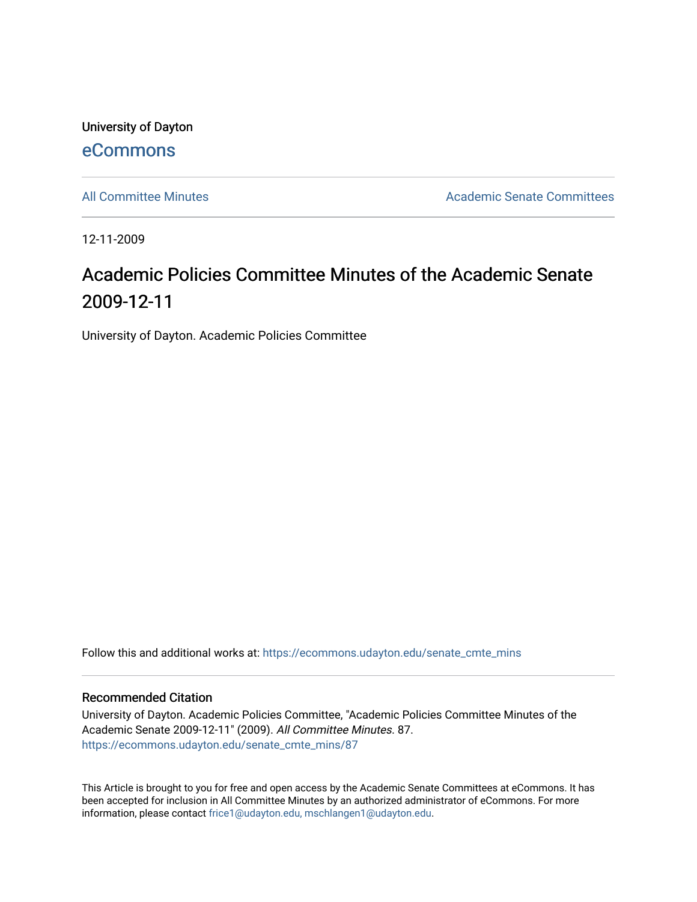University of Dayton [eCommons](https://ecommons.udayton.edu/)

[All Committee Minutes](https://ecommons.udayton.edu/senate_cmte_mins) **Academic Senate Committees** Academic Senate Committees

12-11-2009

# Academic Policies Committee Minutes of the Academic Senate 2009-12-11

University of Dayton. Academic Policies Committee

Follow this and additional works at: [https://ecommons.udayton.edu/senate\\_cmte\\_mins](https://ecommons.udayton.edu/senate_cmte_mins?utm_source=ecommons.udayton.edu%2Fsenate_cmte_mins%2F87&utm_medium=PDF&utm_campaign=PDFCoverPages)

#### Recommended Citation

University of Dayton. Academic Policies Committee, "Academic Policies Committee Minutes of the Academic Senate 2009-12-11" (2009). All Committee Minutes. 87. [https://ecommons.udayton.edu/senate\\_cmte\\_mins/87](https://ecommons.udayton.edu/senate_cmte_mins/87?utm_source=ecommons.udayton.edu%2Fsenate_cmte_mins%2F87&utm_medium=PDF&utm_campaign=PDFCoverPages) 

This Article is brought to you for free and open access by the Academic Senate Committees at eCommons. It has been accepted for inclusion in All Committee Minutes by an authorized administrator of eCommons. For more information, please contact [frice1@udayton.edu, mschlangen1@udayton.edu](mailto:frice1@udayton.edu,%20mschlangen1@udayton.edu).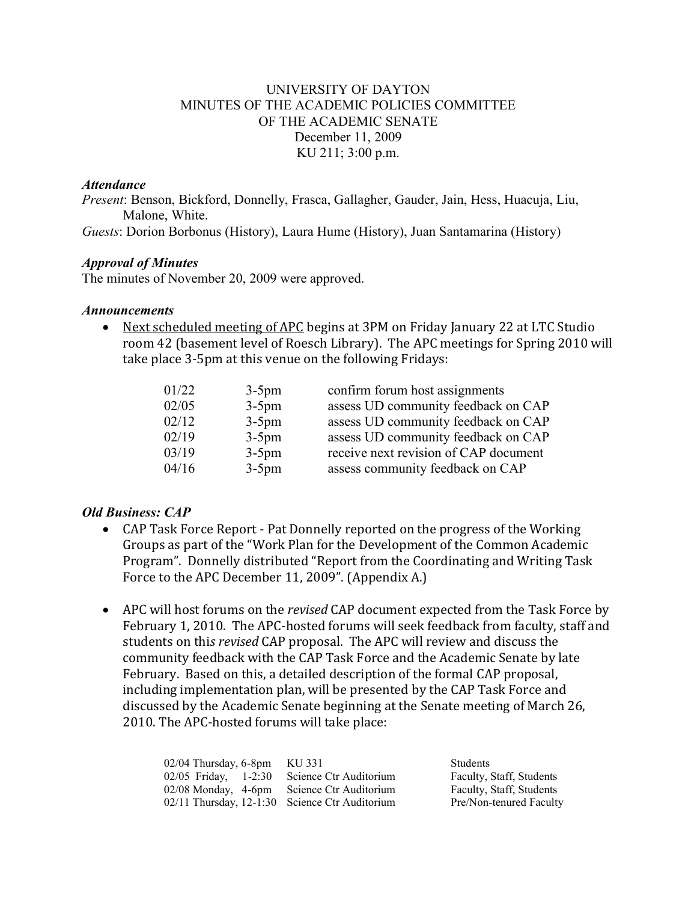## UNIVERSITY OF DAYTON MINUTES OF THE ACADEMIC POLICIES COMMITTEE OF THE ACADEMIC SENATE December 11, 2009 KU 211; 3:00 p.m.

#### *Attendance*

*Present*: Benson, Bickford, Donnelly, Frasca, Gallagher, Gauder, Jain, Hess, Huacuja, Liu, Malone, White.

*Guests*: Dorion Borbonus (History), Laura Hume (History), Juan Santamarina (History)

## *Approval of Minutes*

The minutes of November 20, 2009 were approved.

#### *Announcements*

 Next scheduled meeting of APC begins at 3PM on Friday January 22 at LTC Studio room 42 (basement level of Roesch Library). The APC meetings for Spring 2010 will take place 3-5pm at this venue on the following Fridays:

| 01/22 | $3-5$ pm | confirm forum host assignments        |
|-------|----------|---------------------------------------|
| 02/05 | $3-5$ pm | assess UD community feedback on CAP   |
| 02/12 | $3-5$ pm | assess UD community feedback on CAP   |
| 02/19 | $3-5$ pm | assess UD community feedback on CAP   |
| 03/19 | $3-5$ pm | receive next revision of CAP document |
| 04/16 | $3-5$ pm | assess community feedback on CAP      |

## *Old Business: CAP*

- CAP Task Force Report Pat Donnelly reported on the progress of the Working Groups as part of the "Work Plan for the Development of the Common Academic Program". Donnelly distributed "Report from the Coordinating and Writing Task Force to the APC December 11, 2009". (Appendix A.)
- APC will host forums on the *revised* CAP document expected from the Task Force by February 1, 2010. The APC-hosted forums will seek feedback from faculty, staff and students on thi*s revised* CAP proposal. The APC will review and discuss the community feedback with the CAP Task Force and the Academic Senate by late February. Based on this, a detailed description of the formal CAP proposal, including implementation plan, will be presented by the CAP Task Force and discussed by the Academic Senate beginning at the Senate meeting of March 26, 2010. The APC-hosted forums will take place:

| $02/04$ Thursday, 6-8pm                        | KU 331                 | <b>Students</b>          |
|------------------------------------------------|------------------------|--------------------------|
| $02/05$ Friday, 1-2:30                         | Science Ctr Auditorium | Faculty, Staff, Students |
| $02/08$ Monday, 4-6pm                          | Science Ctr Auditorium | Faculty, Staff, Students |
| 02/11 Thursday, 12-1:30 Science Ctr Auditorium |                        | Pre/Non-tenured Faculty  |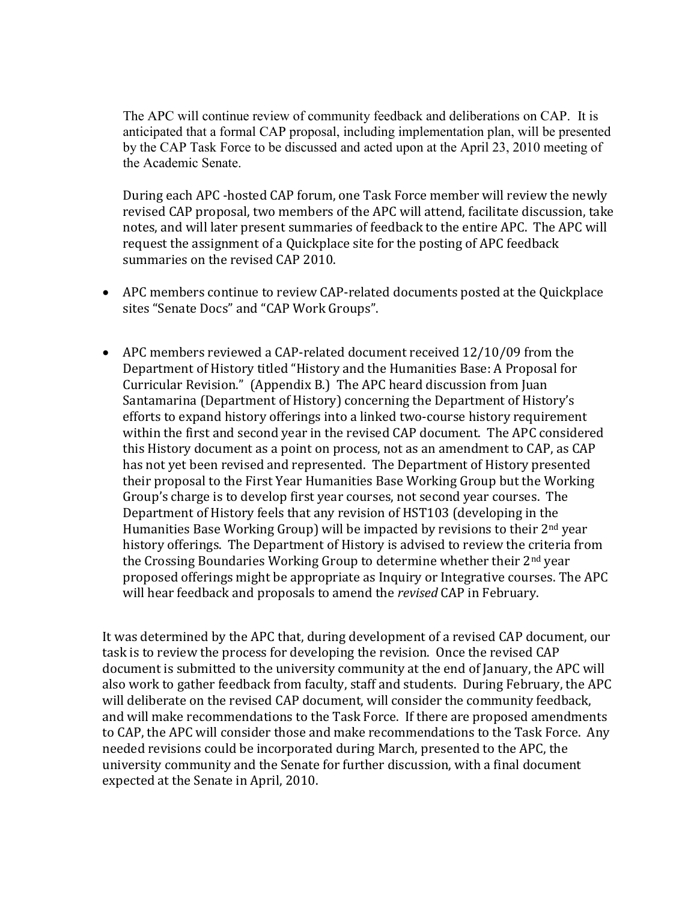The APC will continue review of community feedback and deliberations on CAP. It is anticipated that a formal CAP proposal, including implementation plan, will be presented by the CAP Task Force to be discussed and acted upon at the April 23, 2010 meeting of the Academic Senate.

During each APC -hosted CAP forum, one Task Force member will review the newly revised CAP proposal, two members of the APC will attend, facilitate discussion, take notes, and will later present summaries of feedback to the entire APC. The APC will request the assignment of a Quickplace site for the posting of APC feedback summaries on the revised CAP 2010.

- APC members continue to review CAP-related documents posted at the Quickplace sites "Senate Docs" and "CAP Work Groups".
- APC members reviewed a CAP-related document received 12/10/09 from the Department of History titled "History and the Humanities Base: A Proposal for Curricular Revision." (Appendix B.) The APC heard discussion from Juan Santamarina (Department of History) concerning the Department of History's efforts to expand history offerings into a linked two-course history requirement within the first and second year in the revised CAP document. The APC considered this History document as a point on process, not as an amendment to CAP, as CAP has not yet been revised and represented. The Department of History presented their proposal to the First Year Humanities Base Working Group but the Working Group's charge is to develop first year courses, not second year courses. The Department of History feels that any revision of HST103 (developing in the Humanities Base Working Group) will be impacted by revisions to their 2nd year history offerings. The Department of History is advised to review the criteria from the Crossing Boundaries Working Group to determine whether their 2<sup>nd</sup> year proposed offerings might be appropriate as Inquiry or Integrative courses. The APC will hear feedback and proposals to amend the *revised* CAP in February.

It was determined by the APC that, during development of a revised CAP document, our task is to review the process for developing the revision. Once the revised CAP document is submitted to the university community at the end of January, the APC will also work to gather feedback from faculty, staff and students. During February, the APC will deliberate on the revised CAP document, will consider the community feedback, and will make recommendations to the Task Force. If there are proposed amendments to CAP, the APC will consider those and make recommendations to the Task Force. Any needed revisions could be incorporated during March, presented to the APC, the university community and the Senate for further discussion, with a final document expected at the Senate in April, 2010.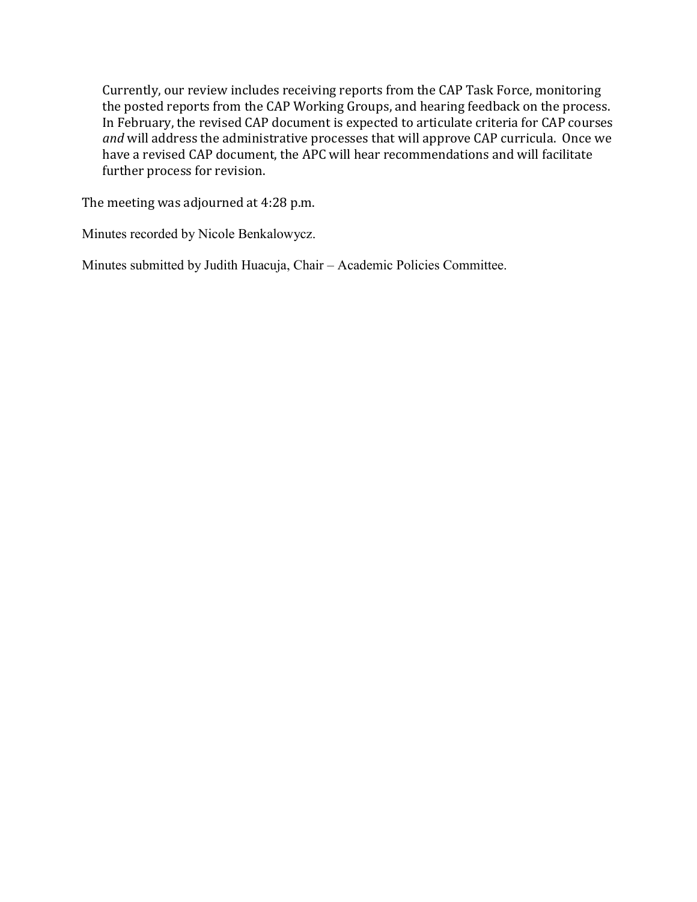Currently, our review includes receiving reports from the CAP Task Force, monitoring the posted reports from the CAP Working Groups, and hearing feedback on the process. In February, the revised CAP document is expected to articulate criteria for CAP courses *and* will address the administrative processes that will approve CAP curricula. Once we have a revised CAP document, the APC will hear recommendations and will facilitate further process for revision.

The meeting was adjourned at 4:28 p.m.

Minutes recorded by Nicole Benkalowycz.

Minutes submitted by Judith Huacuja, Chair – Academic Policies Committee.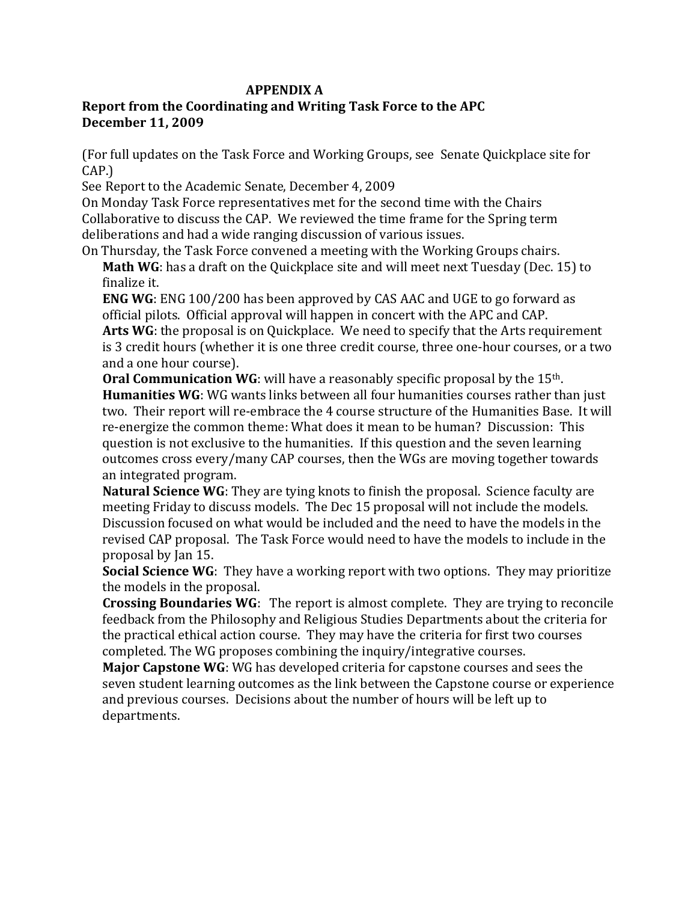## **APPENDIX A**

# **Report from the Coordinating and Writing Task Force to the APC December 11, 2009**

(For full updates on the Task Force and Working Groups, see Senate Quickplace site for CAP.)

See Report to the Academic Senate, December 4, 2009

On Monday Task Force representatives met for the second time with the Chairs Collaborative to discuss the CAP. We reviewed the time frame for the Spring term deliberations and had a wide ranging discussion of various issues.

On Thursday, the Task Force convened a meeting with the Working Groups chairs. **Math WG**: has a draft on the Quickplace site and will meet next Tuesday (Dec. 15) to finalize it.

**ENG WG**: ENG 100/200 has been approved by CAS AAC and UGE to go forward as official pilots. Official approval will happen in concert with the APC and CAP.

Arts WG: the proposal is on Quickplace. We need to specify that the Arts requirement is 3 credit hours (whether it is one three credit course, three one-hour courses, or a two and a one hour course).

**Oral Communication WG**: will have a reasonably specific proposal by the 15<sup>th</sup>. **Humanities WG**: WG wants links between all four humanities courses rather than just two. Their report will re-embrace the 4 course structure of the Humanities Base. It will re-energize the common theme: What does it mean to be human? Discussion: This question is not exclusive to the humanities. If this question and the seven learning outcomes cross every/many CAP courses, then the WGs are moving together towards an integrated program.

**Natural Science WG**: They are tying knots to finish the proposal. Science faculty are meeting Friday to discuss models. The Dec 15 proposal will not include the models. Discussion focused on what would be included and the need to have the models in the revised CAP proposal. The Task Force would need to have the models to include in the proposal by Jan 15.

**Social Science WG**: They have a working report with two options. They may prioritize the models in the proposal.

**Crossing Boundaries WG**: The report is almost complete. They are trying to reconcile feedback from the Philosophy and Religious Studies Departments about the criteria for the practical ethical action course. They may have the criteria for first two courses completed. The WG proposes combining the inquiry/integrative courses.

**Major Capstone WG**: WG has developed criteria for capstone courses and sees the seven student learning outcomes as the link between the Capstone course or experience and previous courses. Decisions about the number of hours will be left up to departments.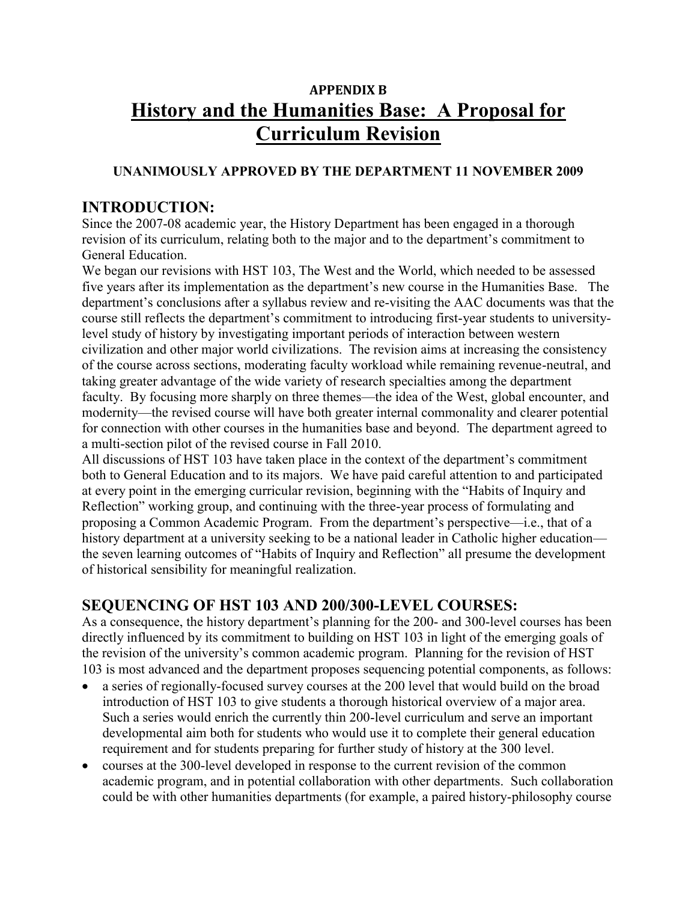# **APPENDIX B History and the Humanities Base: A Proposal for Curriculum Revision**

# **UNANIMOUSLY APPROVED BY THE DEPARTMENT 11 NOVEMBER 2009**

# **INTRODUCTION:**

Since the 2007-08 academic year, the History Department has been engaged in a thorough revision of its curriculum, relating both to the major and to the department's commitment to General Education.

We began our revisions with HST 103, The West and the World, which needed to be assessed five years after its implementation as the department's new course in the Humanities Base. The department's conclusions after a syllabus review and re-visiting the AAC documents was that the course still reflects the department's commitment to introducing first-year students to universitylevel study of history by investigating important periods of interaction between western civilization and other major world civilizations. The revision aims at increasing the consistency of the course across sections, moderating faculty workload while remaining revenue-neutral, and taking greater advantage of the wide variety of research specialties among the department faculty. By focusing more sharply on three themes—the idea of the West, global encounter, and modernity—the revised course will have both greater internal commonality and clearer potential for connection with other courses in the humanities base and beyond. The department agreed to a multi-section pilot of the revised course in Fall 2010.

All discussions of HST 103 have taken place in the context of the department's commitment both to General Education and to its majors. We have paid careful attention to and participated at every point in the emerging curricular revision, beginning with the "Habits of Inquiry and Reflection" working group, and continuing with the three-year process of formulating and proposing a Common Academic Program. From the department's perspective—i.e., that of a history department at a university seeking to be a national leader in Catholic higher education the seven learning outcomes of "Habits of Inquiry and Reflection" all presume the development of historical sensibility for meaningful realization.

# **SEQUENCING OF HST 103 AND 200/300-LEVEL COURSES:**

As a consequence, the history department's planning for the 200- and 300-level courses has been directly influenced by its commitment to building on HST 103 in light of the emerging goals of the revision of the university's common academic program. Planning for the revision of HST 103 is most advanced and the department proposes sequencing potential components, as follows:

- a series of regionally-focused survey courses at the 200 level that would build on the broad introduction of HST 103 to give students a thorough historical overview of a major area. Such a series would enrich the currently thin 200-level curriculum and serve an important developmental aim both for students who would use it to complete their general education requirement and for students preparing for further study of history at the 300 level.
- courses at the 300-level developed in response to the current revision of the common academic program, and in potential collaboration with other departments. Such collaboration could be with other humanities departments (for example, a paired history-philosophy course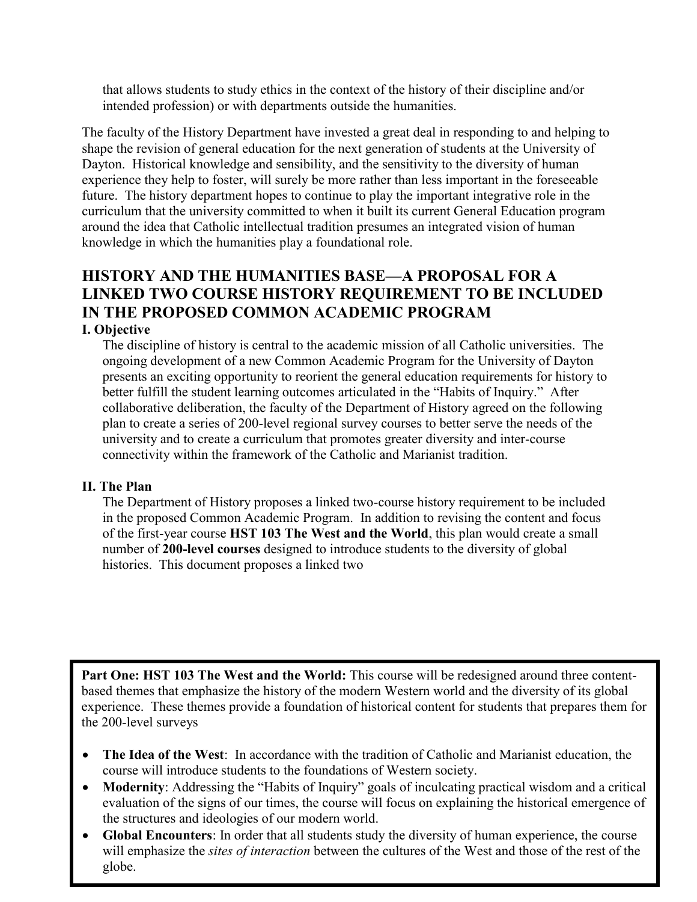that allows students to study ethics in the context of the history of their discipline and/or intended profession) or with departments outside the humanities.

The faculty of the History Department have invested a great deal in responding to and helping to shape the revision of general education for the next generation of students at the University of Dayton. Historical knowledge and sensibility, and the sensitivity to the diversity of human experience they help to foster, will surely be more rather than less important in the foreseeable future. The history department hopes to continue to play the important integrative role in the curriculum that the university committed to when it built its current General Education program around the idea that Catholic intellectual tradition presumes an integrated vision of human knowledge in which the humanities play a foundational role.

# **HISTORY AND THE HUMANITIES BASE—A PROPOSAL FOR A LINKED TWO COURSE HISTORY REQUIREMENT TO BE INCLUDED IN THE PROPOSED COMMON ACADEMIC PROGRAM**

## **I. Objective**

The discipline of history is central to the academic mission of all Catholic universities. The ongoing development of a new Common Academic Program for the University of Dayton presents an exciting opportunity to reorient the general education requirements for history to better fulfill the student learning outcomes articulated in the "Habits of Inquiry." After collaborative deliberation, the faculty of the Department of History agreed on the following plan to create a series of 200-level regional survey courses to better serve the needs of the university and to create a curriculum that promotes greater diversity and inter-course connectivity within the framework of the Catholic and Marianist tradition.

## **II. The Plan**

The Department of History proposes a linked two-course history requirement to be included in the proposed Common Academic Program. In addition to revising the content and focus of the first-year course **HST 103 The West and the World**, this plan would create a small number of **200-level courses** designed to introduce students to the diversity of global histories. This document proposes a linked two

**Part One: HST 103 The West and the World:** This course will be redesigned around three contentbased themes that emphasize the history of the modern Western world and the diversity of its global experience. These themes provide a foundation of historical content for students that prepares them for the 200-level surveys

- **The Idea of the West**: In accordance with the tradition of Catholic and Marianist education, the course will introduce students to the foundations of Western society.
- **Modernity**: Addressing the "Habits of Inquiry" goals of inculcating practical wisdom and a critical evaluation of the signs of our times, the course will focus on explaining the historical emergence of the structures and ideologies of our modern world.
- **Global Encounters**: In order that all students study the diversity of human experience, the course will emphasize the *sites of interaction* between the cultures of the West and those of the rest of the globe.